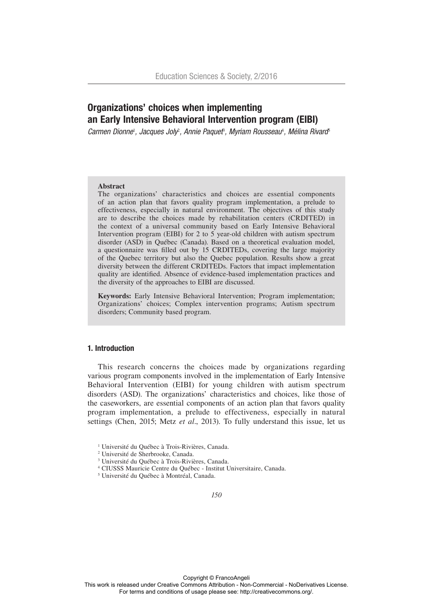# Organizations' choices when implementing an Early Intensive Behavioral Intervention program (EIBI)

Carmen Dionne<sup>1</sup>, Jacques Joly<sup>2</sup>, Annie Paquet<sup>3</sup>, Myriam Rousseau<sup>4</sup>, Mélina Rivard<sup>5</sup>

## **Abstract**

The organizations' characteristics and choices are essential components of an action plan that favors quality program implementation, a prelude to effectiveness, especially in natural environment. The objectives of this study are to describe the choices made by rehabilitation centers (CRDITED) in the context of a universal community based on Early Intensive Behavioral Intervention program (EIBI) for 2 to 5 year-old children with autism spectrum disorder (ASD) in Québec (Canada). Based on a theoretical evaluation model, a questionnaire was filled out by 15 CRDITEDs, covering the large majority of the Quebec territory but also the Quebec population. Results show a great diversity between the different CRDITEDs. Factors that impact implementation quality are identified. Absence of evidence-based implementation practices and the diversity of the approaches to EIBI are discussed.

**Keywords:** Early Intensive Behavioral Intervention; Program implementation; Organizations' choices; Complex intervention programs; Autism spectrum disorders; Community based program.

# 1. Introduction

This research concerns the choices made by organizations regarding various program components involved in the implementation of Early Intensive Behavioral Intervention (EIBI) for young children with autism spectrum disorders (ASD). The organizations' characteristics and choices, like those of the caseworkers, are essential components of an action plan that favors quality program implementation, a prelude to effectiveness, especially in natural settings (Chen, 2015; Metz *et al*., 2013). To fully understand this issue, let us

<sup>&</sup>lt;sup>1</sup> Université du Québec à Trois-Rivières, Canada.

<sup>2</sup> Université de Sherbrooke, Canada.

<sup>3</sup> Université du Québec à Trois-Rivières, Canada.

<sup>4</sup> CIUSSS Mauricie Centre du Québec - Institut Universitaire, Canada.

<sup>5</sup> Université du Québec à Montréal, Canada.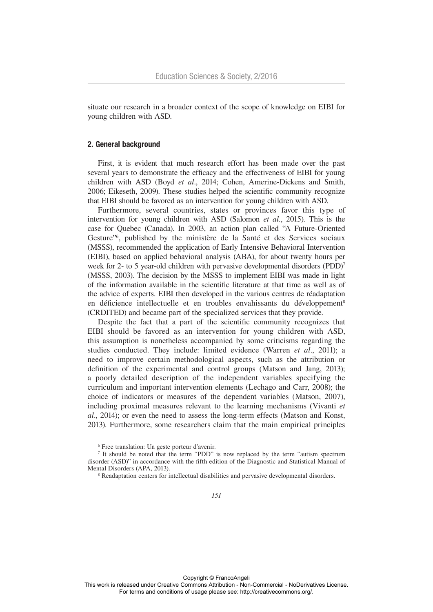situate our research in a broader context of the scope of knowledge on EIBI for young children with ASD.

#### 2. General background

First, it is evident that much research effort has been made over the past several years to demonstrate the efficacy and the effectiveness of EIBI for young children with ASD (Boyd *et al*., 2014; Cohen, Amerine**-**Dickens and Smith, 2006; Eikeseth, 2009). These studies helped the scientific community recognize that EIBI should be favored as an intervention for young children with ASD.

Furthermore, several countries, states or provinces favor this type of intervention for young children with ASD (Salomon *et al.*, 2015). This is the case for Quebec (Canada). In 2003, an action plan called "A Future-Oriented Gesture"6 , published by the ministère de la Santé et des Services sociaux (MSSS), recommended the application of Early Intensive Behavioral Intervention (EIBI), based on applied behavioral analysis (ABA), for about twenty hours per week for 2- to 5 year-old children with pervasive developmental disorders (PDD)<sup>7</sup> (MSSS, 2003). The decision by the MSSS to implement EIBI was made in light of the information available in the scientific literature at that time as well as of the advice of experts. EIBI then developed in the various centres de réadaptation en déficience intellectuelle et en troubles envahissants du développement<sup>8</sup> (CRDITED) and became part of the specialized services that they provide.

Despite the fact that a part of the scientific community recognizes that EIBI should be favored as an intervention for young children with ASD, this assumption is nonetheless accompanied by some criticisms regarding the studies conducted. They include: limited evidence (Warren *et al*., 2011); a need to improve certain methodological aspects, such as the attribution or definition of the experimental and control groups (Matson and Jang, 2013); a poorly detailed description of the independent variables specifying the curriculum and important intervention elements (Lechago and Carr, 2008); the choice of indicators or measures of the dependent variables (Matson, 2007), including proximal measures relevant to the learning mechanisms (Vivanti *et al*., 2014); or even the need to assess the long-term effects (Matson and Konst, 2013). Furthermore, some researchers claim that the main empirical principles

6 Free translation: Un geste porteur d'avenir.

8 Readaptation centers for intellectual disabilities and pervasive developmental disorders.

<sup>7</sup> It should be noted that the term "PDD" is now replaced by the term "autism spectrum disorder (ASD)" in accordance with the fifth edition of the Diagnostic and Statistical Manual of Mental Disorders (APA, 2013).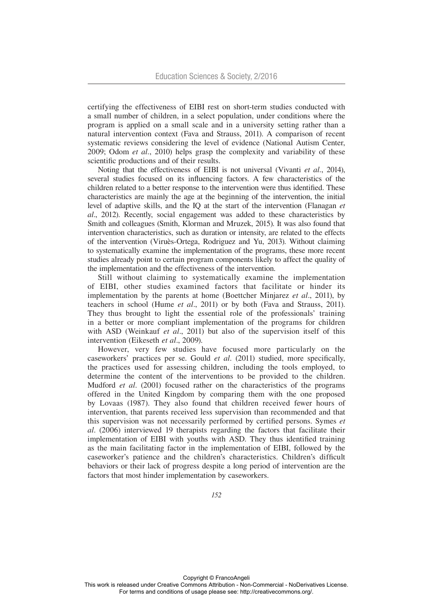certifying the effectiveness of EIBI rest on short-term studies conducted with a small number of children, in a select population, under conditions where the program is applied on a small scale and in a university setting rather than a natural intervention context (Fava and Strauss, 2011). A comparison of recent systematic reviews considering the level of evidence (National Autism Center, 2009; Odom *et al.*, 2010) helps grasp the complexity and variability of these scientific productions and of their results.

Noting that the effectiveness of EIBI is not universal (Vivanti *et al.*, 2014), several studies focused on its influencing factors. A few characteristics of the children related to a better response to the intervention were thus identified. These characteristics are mainly the age at the beginning of the intervention, the initial level of adaptive skills, and the IQ at the start of the intervention (Flanagan *et al*., 2012). Recently, social engagement was added to these characteristics by Smith and colleagues (Smith, Klorman and Mruzek, 2015). It was also found that intervention characteristics, such as duration or intensity, are related to the effects of the intervention (Viruès-Ortega, Rodriguez and Yu, 2013). Without claiming to systematically examine the implementation of the programs, these more recent studies already point to certain program components likely to affect the quality of the implementation and the effectiveness of the intervention.

Still without claiming to systematically examine the implementation of EIBI, other studies examined factors that facilitate or hinder its implementation by the parents at home (Boettcher Minjarez *et al*., 2011), by teachers in school (Hume *et al*., 2011) or by both (Fava and Strauss, 2011). They thus brought to light the essential role of the professionals' training in a better or more compliant implementation of the programs for children with ASD (Weinkauf *et al*., 2011) but also of the supervision itself of this intervention (Eikeseth *et al*., 2009).

However, very few studies have focused more particularly on the caseworkers' practices per se. Gould *et al*. (2011) studied, more specifically, the practices used for assessing children, including the tools employed, to determine the content of the interventions to be provided to the children. Mudford *et al*. (2001) focused rather on the characteristics of the programs offered in the United Kingdom by comparing them with the one proposed by Lovaas (1987). They also found that children received fewer hours of intervention, that parents received less supervision than recommended and that this supervision was not necessarily performed by certified persons. Symes *et al*. (2006) interviewed 19 therapists regarding the factors that facilitate their implementation of EIBI with youths with ASD. They thus identified training as the main facilitating factor in the implementation of EIBI, followed by the caseworker's patience and the children's characteristics. Children's difficult behaviors or their lack of progress despite a long period of intervention are the factors that most hinder implementation by caseworkers.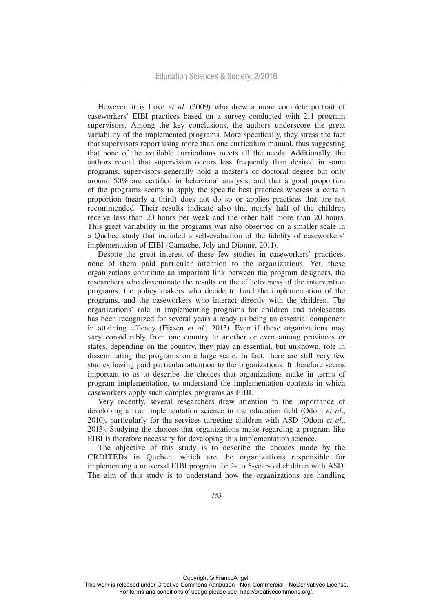However, it is Love *et al*. (2009) who drew a more complete portrait of caseworkers' EIBI practices based on a survey conducted with 211 program supervisors. Among the key conclusions, the authors underscore the great variability of the implemented programs. More specifically, they stress the fact that supervisors report using more than one curriculum manual, thus suggesting that none of the available curriculums meets all the needs. Additionally, the authors reveal that supervision occurs less frequently than desired in some programs, supervisors generally hold a master's or doctoral degree but only around 50% are certified in behavioral analysis, and that a good proportion of the programs seems to apply the specific best practices whereas a certain proportion (nearly a third) does not do so or applies practices that are not recommended. Their results indicate also that nearly half of the children receive less than 20 hours per week and the other half more than 20 hours. This great variability in the programs was also observed on a smaller scale in a Quebec study that included a self-evaluation of the fidelity of caseworkers' implementation of EIBI (Gamache, Joly and Dionne, 2011).

Despite the great interest of these few studies in caseworkers' practices, none of them paid particular attention to the organizations. Yet, these organizations constitute an important link between the program designers, the researchers who disseminate the results on the effectiveness of the intervention programs, the policy makers who decide to fund the implementation of the programs, and the caseworkers who interact directly with the children. The organizations' role in implementing programs for children and adolescents has been recognized for several years already as being an essential component in attaining efficacy (Fixsen *et al*., 2013). Even if these organizations may vary considerably from one country to another or even among provinces or states, depending on the country, they play an essential, but unknown, role in disseminating the programs on a large scale. In fact, there are still very few studies having paid particular attention to the organizations. It therefore seems important to us to describe the choices that organizations make in terms of program implementation, to understand the implementation contexts in which caseworkers apply such complex programs as EIBI.

Very recently, several researchers drew attention to the importance of developing a true implementation science in the education field (Odom *et al*., 2010), particularly for the services targeting children with ASD (Odom *et al*., 2013). Studying the choices that organizations make regarding a program like EIBI is therefore necessary for developing this implementation science.

The objective of this study is to describe the choices made by the CRDITEDs in Quebec, which are the organizations responsible for implementing a universal EIBI program for 2- to 5-year-old children with ASD. The aim of this study is to understand how the organizations are handling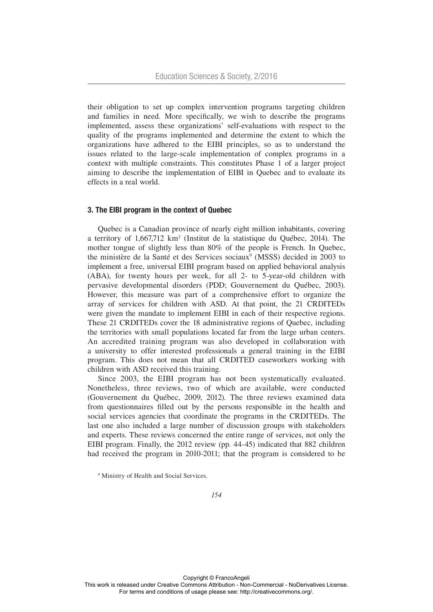their obligation to set up complex intervention programs targeting children and families in need. More specifically, we wish to describe the programs implemented, assess these organizations' self-evaluations with respect to the quality of the programs implemented and determine the extent to which the organizations have adhered to the EIBI principles, so as to understand the issues related to the large-scale implementation of complex programs in a context with multiple constraints. This constitutes Phase 1 of a larger project aiming to describe the implementation of EIBI in Quebec and to evaluate its effects in a real world.

## 3. The EIBI program in the context of Quebec

Quebec is a Canadian province of nearly eight million inhabitants, covering a territory of 1,667,712 km2 (Institut de la statistique du Québec, 2014). The mother tongue of slightly less than 80% of the people is French. In Quebec, the ministère de la Santé et des Services sociaux<sup>9</sup> (MSSS) decided in 2003 to implement a free, universal EIBI program based on applied behavioral analysis (ABA), for twenty hours per week, for all 2- to 5-year-old children with pervasive developmental disorders (PDD; Gouvernement du Québec, 2003). However, this measure was part of a comprehensive effort to organize the array of services for children with ASD. At that point, the 21 CRDITEDs were given the mandate to implement EIBI in each of their respective regions. These 21 CRDITEDs cover the 18 administrative regions of Quebec, including the territories with small populations located far from the large urban centers. An accredited training program was also developed in collaboration with a university to offer interested professionals a general training in the EIBI program. This does not mean that all CRDITED caseworkers working with children with ASD received this training.

Since 2003, the EIBI program has not been systematically evaluated. Nonetheless, three reviews, two of which are available, were conducted (Gouvernement du Québec, 2009, 2012). The three reviews examined data from questionnaires filled out by the persons responsible in the health and social services agencies that coordinate the programs in the CRDITEDs. The last one also included a large number of discussion groups with stakeholders and experts. These reviews concerned the entire range of services, not only the EIBI program. Finally, the 2012 review (pp. 44-45) indicated that 882 children had received the program in 2010-2011; that the program is considered to be

<sup>9</sup> Ministry of Health and Social Services.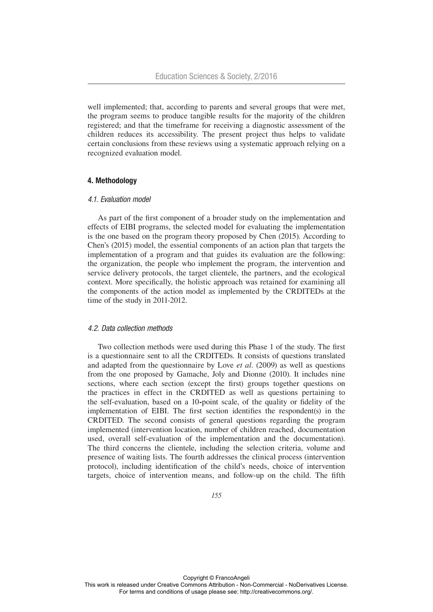well implemented; that, according to parents and several groups that were met, the program seems to produce tangible results for the majority of the children registered; and that the timeframe for receiving a diagnostic assessment of the children reduces its accessibility. The present project thus helps to validate certain conclusions from these reviews using a systematic approach relying on a recognized evaluation model.

# 4. Methodology

#### *4.1. Evaluation model*

As part of the first component of a broader study on the implementation and effects of EIBI programs, the selected model for evaluating the implementation is the one based on the program theory proposed by Chen (2015). According to Chen's (2015) model, the essential components of an action plan that targets the implementation of a program and that guides its evaluation are the following: the organization, the people who implement the program, the intervention and service delivery protocols, the target clientele, the partners, and the ecological context. More specifically, the holistic approach was retained for examining all the components of the action model as implemented by the CRDITEDs at the time of the study in 2011-2012.

#### *4.2. Data collection methods*

Two collection methods were used during this Phase 1 of the study. The first is a questionnaire sent to all the CRDITEDs. It consists of questions translated and adapted from the questionnaire by Love *et al*. (2009) as well as questions from the one proposed by Gamache, Joly and Dionne (2010). It includes nine sections, where each section (except the first) groups together questions on the practices in effect in the CRDITED as well as questions pertaining to the self-evaluation, based on a 10**-**point scale, of the quality or fidelity of the implementation of EIBI. The first section identifies the respondent(s) in the CRDITED. The second consists of general questions regarding the program implemented (intervention location, number of children reached, documentation used, overall self-evaluation of the implementation and the documentation). The third concerns the clientele, including the selection criteria, volume and presence of waiting lists. The fourth addresses the clinical process (intervention protocol), including identification of the child's needs, choice of intervention targets, choice of intervention means, and follow-up on the child. The fifth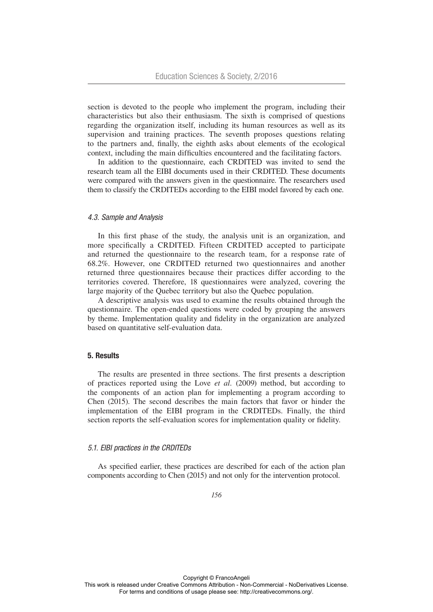section is devoted to the people who implement the program, including their characteristics but also their enthusiasm. The sixth is comprised of questions regarding the organization itself, including its human resources as well as its supervision and training practices. The seventh proposes questions relating to the partners and, finally, the eighth asks about elements of the ecological context, including the main difficulties encountered and the facilitating factors.

In addition to the questionnaire, each CRDITED was invited to send the research team all the EIBI documents used in their CRDITED. These documents were compared with the answers given in the questionnaire. The researchers used them to classify the CRDITEDs according to the EIBI model favored by each one.

#### *4.3. Sample and Analysis*

In this first phase of the study, the analysis unit is an organization, and more specifically a CRDITED. Fifteen CRDITED accepted to participate and returned the questionnaire to the research team, for a response rate of 68.2%. However, one CRDITED returned two questionnaires and another returned three questionnaires because their practices differ according to the territories covered. Therefore, 18 questionnaires were analyzed, covering the large majority of the Quebec territory but also the Quebec population.

A descriptive analysis was used to examine the results obtained through the questionnaire. The open-ended questions were coded by grouping the answers by theme. Implementation quality and fidelity in the organization are analyzed based on quantitative self-evaluation data.

# 5. Results

The results are presented in three sections. The first presents a description of practices reported using the Love *et al.* (2009) method, but according to the components of an action plan for implementing a program according to Chen (2015). The second describes the main factors that favor or hinder the implementation of the EIBI program in the CRDITEDs. Finally, the third section reports the self-evaluation scores for implementation quality or fidelity.

# *5.1. EIBI practices in the CRDITEDs*

As specified earlier, these practices are described for each of the action plan components according to Chen (2015) and not only for the intervention protocol.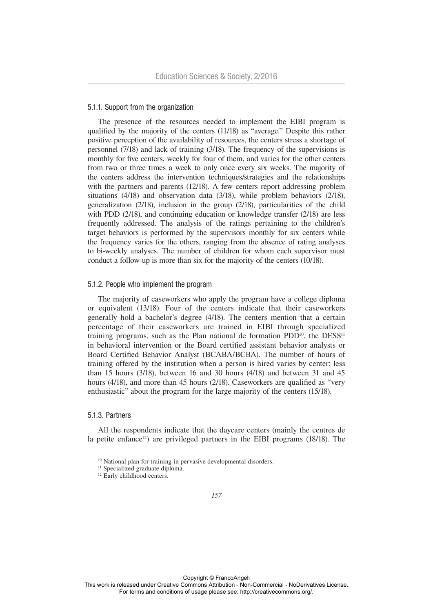## 5.1.1. Support from the organization

The presence of the resources needed to implement the EIBI program is qualified by the majority of the centers (11/18) as "average." Despite this rather positive perception of the availability of resources, the centers stress a shortage of personnel (7/18) and lack of training (3/18). The frequency of the supervisions is monthly for five centers, weekly for four of them, and varies for the other centers from two or three times a week to only once every six weeks. The majority of the centers address the intervention techniques/strategies and the relationships with the partners and parents (12/18). A few centers report addressing problem situations (4/18) and observation data (3/18), while problem behaviors (2/18), generalization (2/18), inclusion in the group (2/18), particularities of the child with PDD (2/18), and continuing education or knowledge transfer (2/18) are less frequently addressed. The analysis of the ratings pertaining to the children's target behaviors is performed by the supervisors monthly for six centers while the frequency varies for the others, ranging from the absence of rating analyses to bi-weekly analyses. The number of children for whom each supervisor must conduct a follow-up is more than six for the majority of the centers (10/18).

## 5.1.2. People who implement the program

The majority of caseworkers who apply the program have a college diploma or equivalent (13/18). Four of the centers indicate that their caseworkers generally hold a bachelor's degree (4/18). The centers mention that a certain percentage of their caseworkers are trained in EIBI through specialized training programs, such as the Plan national de formation  $PDD^{10}$ , the  $DES^{11}$ in behavioral intervention or the Board certified assistant behavior analysts or Board Certified Behavior Analyst (BCABA/BCBA). The number of hours of training offered by the institution when a person is hired varies by center: less than 15 hours (3/18), between 16 and 30 hours (4/18) and between 31 and 45 hours (4/18), and more than 45 hours (2/18). Caseworkers are qualified as "very enthusiastic" about the program for the large majority of the centers (15/18).

#### 5.1.3. Partners

All the respondents indicate that the daycare centers (mainly the centres de la petite enfance<sup>12</sup>) are privileged partners in the EIBI programs (18/18). The

<sup>&</sup>lt;sup>10</sup> National plan for training in pervasive developmental disorders.

<sup>&</sup>lt;sup>11</sup> Specialized graduate diploma.

<sup>&</sup>lt;sup>12</sup> Early childhood centers.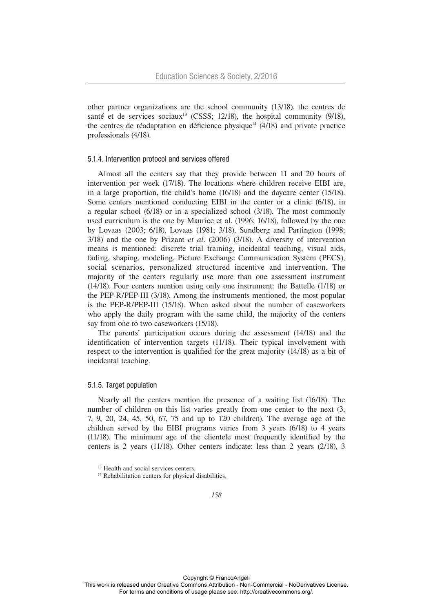other partner organizations are the school community (13/18), the centres de santé et de services sociaux<sup>13</sup> (CSSS; 12/18), the hospital community  $(9/18)$ , the centres de réadaptation en déficience physique<sup>14</sup>  $(4/18)$  and private practice professionals (4/18).

#### 5.1.4. Intervention protocol and services offered

Almost all the centers say that they provide between 11 and 20 hours of intervention per week (17/18). The locations where children receive EIBI are, in a large proportion, the child's home (16/18) and the daycare center (15/18). Some centers mentioned conducting EIBI in the center or a clinic (6/18), in a regular school (6/18) or in a specialized school (3/18). The most commonly used curriculum is the one by Maurice et al. (1996; 16/18), followed by the one by Lovaas (2003; 6/18), Lovaas (1981; 3/18), Sundberg and Partington (1998; 3/18) and the one by Prizant *et al*. (2006) (3/18). A diversity of intervention means is mentioned: discrete trial training, incidental teaching, visual aids, fading, shaping, modeling, Picture Exchange Communication System (PECS), social scenarios, personalized structured incentive and intervention. The majority of the centers regularly use more than one assessment instrument (14/18). Four centers mention using only one instrument: the Battelle (1/18) or the PEP-R/PEP-III (3/18). Among the instruments mentioned, the most popular is the PEP-R/PEP-III (15/18). When asked about the number of caseworkers who apply the daily program with the same child, the majority of the centers say from one to two caseworkers (15/18).

The parents' participation occurs during the assessment (14/18) and the identification of intervention targets (11/18). Their typical involvement with respect to the intervention is qualified for the great majority (14/18) as a bit of incidental teaching.

#### 5.1.5. Target population

Nearly all the centers mention the presence of a waiting list (16/18). The number of children on this list varies greatly from one center to the next (3, 7, 9, 20, 24, 45, 50, 67, 75 and up to 120 children). The average age of the children served by the EIBI programs varies from 3 years (6/18) to 4 years (11/18). The minimum age of the clientele most frequently identified by the centers is 2 years (11/18). Other centers indicate: less than 2 years (2/18), 3

<sup>&</sup>lt;sup>13</sup> Health and social services centers.

<sup>&</sup>lt;sup>14</sup> Rehabilitation centers for physical disabilities.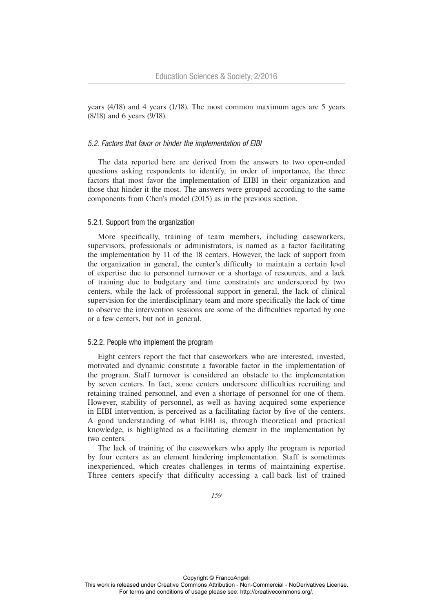years (4/18) and 4 years (1/18). The most common maximum ages are 5 years (8/18) and 6 years (9/18).

#### *5.2. Factors that favor or hinder the implementation of EIBI*

The data reported here are derived from the answers to two open-ended questions asking respondents to identify, in order of importance, the three factors that most favor the implementation of EIBI in their organization and those that hinder it the most. The answers were grouped according to the same components from Chen's model (2015) as in the previous section.

#### 5.2.1. Support from the organization

More specifically, training of team members, including caseworkers, supervisors, professionals or administrators, is named as a factor facilitating the implementation by 11 of the 18 centers. However, the lack of support from the organization in general, the center's difficulty to maintain a certain level of expertise due to personnel turnover or a shortage of resources, and a lack of training due to budgetary and time constraints are underscored by two centers, while the lack of professional support in general, the lack of clinical supervision for the interdisciplinary team and more specifically the lack of time to observe the intervention sessions are some of the difficulties reported by one or a few centers, but not in general.

#### 5.2.2. People who implement the program

Eight centers report the fact that caseworkers who are interested, invested, motivated and dynamic constitute a favorable factor in the implementation of the program. Staff turnover is considered an obstacle to the implementation by seven centers. In fact, some centers underscore difficulties recruiting and retaining trained personnel, and even a shortage of personnel for one of them. However, stability of personnel, as well as having acquired some experience in EIBI intervention, is perceived as a facilitating factor by five of the centers. A good understanding of what EIBI is, through theoretical and practical knowledge, is highlighted as a facilitating element in the implementation by two centers.

The lack of training of the caseworkers who apply the program is reported by four centers as an element hindering implementation. Staff is sometimes inexperienced, which creates challenges in terms of maintaining expertise. Three centers specify that difficulty accessing a call-back list of trained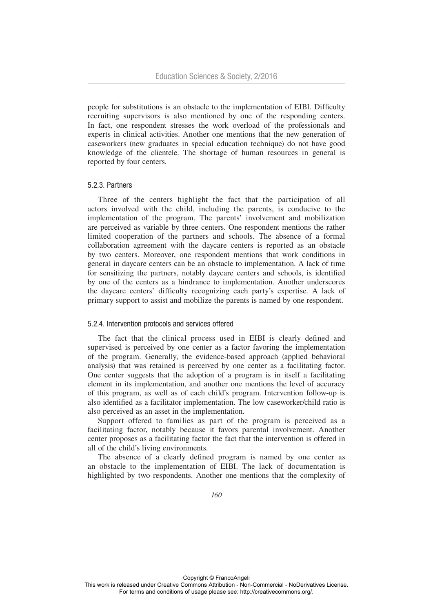people for substitutions is an obstacle to the implementation of EIBI. Difficulty recruiting supervisors is also mentioned by one of the responding centers. In fact, one respondent stresses the work overload of the professionals and experts in clinical activities. Another one mentions that the new generation of caseworkers (new graduates in special education technique) do not have good knowledge of the clientele. The shortage of human resources in general is reported by four centers.

#### 5.2.3. Partners

Three of the centers highlight the fact that the participation of all actors involved with the child, including the parents, is conducive to the implementation of the program. The parents' involvement and mobilization are perceived as variable by three centers. One respondent mentions the rather limited cooperation of the partners and schools. The absence of a formal collaboration agreement with the daycare centers is reported as an obstacle by two centers. Moreover, one respondent mentions that work conditions in general in daycare centers can be an obstacle to implementation. A lack of time for sensitizing the partners, notably daycare centers and schools, is identified by one of the centers as a hindrance to implementation. Another underscores the daycare centers' difficulty recognizing each party's expertise. A lack of primary support to assist and mobilize the parents is named by one respondent.

## 5.2.4. Intervention protocols and services offered

The fact that the clinical process used in EIBI is clearly defined and supervised is perceived by one center as a factor favoring the implementation of the program. Generally, the evidence-based approach (applied behavioral analysis) that was retained is perceived by one center as a facilitating factor. One center suggests that the adoption of a program is in itself a facilitating element in its implementation, and another one mentions the level of accuracy of this program, as well as of each child's program. Intervention follow-up is also identified as a facilitator implementation. The low caseworker/child ratio is also perceived as an asset in the implementation.

Support offered to families as part of the program is perceived as a facilitating factor, notably because it favors parental involvement. Another center proposes as a facilitating factor the fact that the intervention is offered in all of the child's living environments.

The absence of a clearly defined program is named by one center as an obstacle to the implementation of EIBI. The lack of documentation is highlighted by two respondents. Another one mentions that the complexity of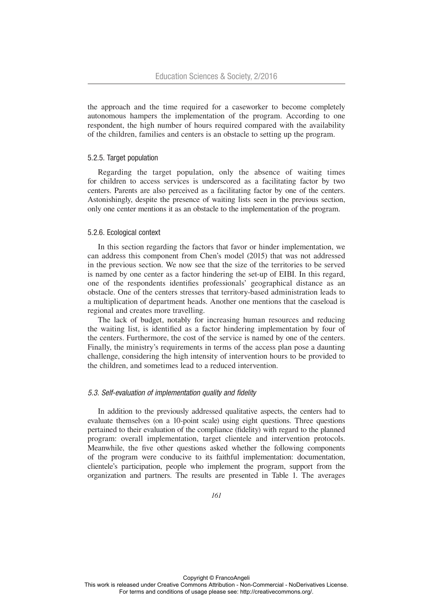the approach and the time required for a caseworker to become completely autonomous hampers the implementation of the program. According to one respondent, the high number of hours required compared with the availability of the children, families and centers is an obstacle to setting up the program.

# 5.2.5. Target population

Regarding the target population, only the absence of waiting times for children to access services is underscored as a facilitating factor by two centers. Parents are also perceived as a facilitating factor by one of the centers. Astonishingly, despite the presence of waiting lists seen in the previous section, only one center mentions it as an obstacle to the implementation of the program.

#### 5.2.6. Ecological context

In this section regarding the factors that favor or hinder implementation, we can address this component from Chen's model (2015) that was not addressed in the previous section. We now see that the size of the territories to be served is named by one center as a factor hindering the set-up of EIBI. In this regard, one of the respondents identifies professionals' geographical distance as an obstacle. One of the centers stresses that territory-based administration leads to a multiplication of department heads. Another one mentions that the caseload is regional and creates more travelling.

The lack of budget, notably for increasing human resources and reducing the waiting list, is identified as a factor hindering implementation by four of the centers. Furthermore, the cost of the service is named by one of the centers. Finally, the ministry's requirements in terms of the access plan pose a daunting challenge, considering the high intensity of intervention hours to be provided to the children, and sometimes lead to a reduced intervention.

## *5.3. Self-evaluation of implementation quality and fidelity*

In addition to the previously addressed qualitative aspects, the centers had to evaluate themselves (on a 10-point scale) using eight questions. Three questions pertained to their evaluation of the compliance (fidelity) with regard to the planned program: overall implementation, target clientele and intervention protocols. Meanwhile, the five other questions asked whether the following components of the program were conducive to its faithful implementation: documentation, clientele's participation, people who implement the program, support from the organization and partners. The results are presented in Table 1. The averages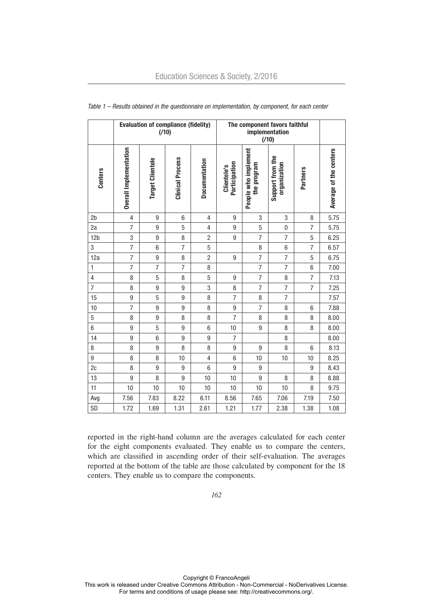|                 | <b>Evaluation of compliance (fidelity)</b><br>(710) |                         |                         |                | The component favors faithful<br>implementation<br>(710) |                                     |                                  |                 |                        |
|-----------------|-----------------------------------------------------|-------------------------|-------------------------|----------------|----------------------------------------------------------|-------------------------------------|----------------------------------|-----------------|------------------------|
| <b>Centers</b>  | Overall Implementation                              | <b>Target Clientele</b> | <b>Clinical Process</b> | Documentation  | Participation<br>Clientele's                             | People who implement<br>the program | Support from the<br>organization | <b>Partners</b> | Average of the centers |
| 2 <sub>b</sub>  | 4                                                   | 9                       | 6                       | 4              | 9                                                        | 3                                   | 3                                | 8               | 5.75                   |
| 2a              | $\overline{7}$                                      | $\boldsymbol{9}$        | 5                       | 4              | 9                                                        | 5                                   | $\bf{0}$                         | $\overline{7}$  | 5.75                   |
| 12 <sub>b</sub> | 3                                                   | $\boldsymbol{9}$        | 8                       | $\overline{c}$ | $\boldsymbol{9}$                                         | 7                                   | $\overline{7}$                   | 5               | 6.25                   |
| 3               | $\overline{7}$                                      | $6\phantom{1}$          | $\overline{7}$          | 5              |                                                          | 8                                   | $6\phantom{1}$                   | $\overline{7}$  | 6.57                   |
| 12a             | $\overline{7}$                                      | $\overline{9}$          | 8                       | $\overline{2}$ | 9                                                        | $\overline{7}$                      | $\overline{7}$                   | 5               | 6.75                   |
| $\mathbf{1}$    | $\overline{7}$                                      | $\overline{7}$          | $\overline{7}$          | 8              |                                                          | $\overline{7}$                      | $\overline{7}$                   | $6\phantom{1}$  | 7.00                   |
| 4               | 8                                                   | 5                       | 8                       | 5              | 9                                                        | $\overline{7}$                      | 8                                | $\overline{7}$  | 7.13                   |
| $\overline{7}$  | 8                                                   | $\boldsymbol{9}$        | $\overline{9}$          | 3              | 8                                                        | $\overline{7}$                      | $\overline{7}$                   | $\overline{7}$  | 7.25                   |
| 15              | $\boldsymbol{9}$                                    | 5                       | 9                       | 8              | $\overline{7}$                                           | $\, 8$                              | $\overline{7}$                   |                 | 7.57                   |
| 10              | $\overline{7}$                                      | $\boldsymbol{9}$        | 9                       | 8              | 9                                                        | 7                                   | 8                                | 6               | 7.88                   |
| 5               | 8                                                   | $\boldsymbol{9}$        | 8                       | 8              | $\overline{7}$                                           | 8                                   | 8                                | 8               | 8.00                   |
| $6\phantom{a}$  | 9                                                   | 5                       | 9                       | 6              | 10                                                       | $\boldsymbol{9}$                    | 8                                | 8               | 8.00                   |
| 14              | 9                                                   | $6\phantom{1}$          | 9                       | 9              | $\overline{7}$                                           |                                     | 8                                |                 | 8.00                   |
| 8               | 8                                                   | $\boldsymbol{9}$        | 8                       | 8              | 9                                                        | 9                                   | 8                                | 6               | 8.13                   |
| 9               | 8                                                   | 8                       | 10                      | 4              | 6                                                        | 10                                  | 10                               | 10              | 8.25                   |
| 2c              | 8                                                   | $\overline{9}$          | 9                       | $6\phantom{1}$ | $\overline{9}$                                           | $9\,$                               |                                  | 9               | 8.43                   |
| 13              | $\overline{9}$                                      | 8                       | $\overline{9}$          | 10             | 10                                                       | $\boldsymbol{9}$                    | 8                                | 8               | 8.88                   |
| 11              | 10                                                  | 10                      | 10                      | 10             | 10                                                       | 10                                  | 10                               | 8               | 9.75                   |
| Avg             | 7.56                                                | 7.83                    | 8.22                    | 6.11           | 8.56                                                     | 7.65                                | 7.06                             | 7.19            | 7.50                   |
| SD              | 1.72                                                | 1.69                    | 1.31                    | 2.61           | 1.21                                                     | 1.77                                | 2.38                             | 1.38            | 1.08                   |

#### *Table 1 – Results obtained in the questionnaire on implementation, by component, for each center*

reported in the right-hand column are the averages calculated for each center for the eight components evaluated. They enable us to compare the centers, which are classified in ascending order of their self-evaluation. The averages reported at the bottom of the table are those calculated by component for the 18 centers. They enable us to compare the components.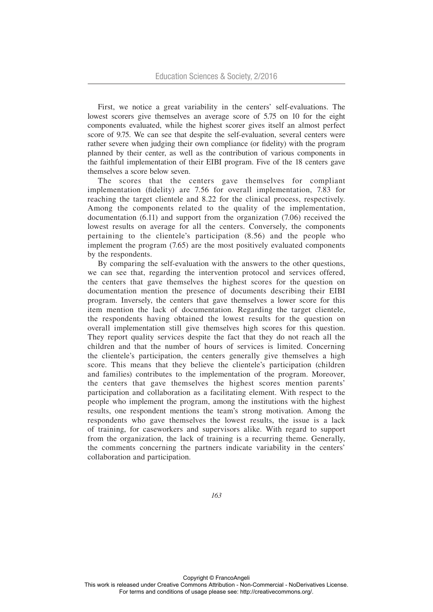First, we notice a great variability in the centers' self-evaluations. The lowest scorers give themselves an average score of 5.75 on 10 for the eight components evaluated, while the highest scorer gives itself an almost perfect score of 9.75. We can see that despite the self-evaluation, several centers were rather severe when judging their own compliance (or fidelity) with the program planned by their center, as well as the contribution of various components in the faithful implementation of their EIBI program. Five of the 18 centers gave themselves a score below seven.

The scores that the centers gave themselves for compliant implementation (fidelity) are 7.56 for overall implementation, 7.83 for reaching the target clientele and 8.22 for the clinical process, respectively. Among the components related to the quality of the implementation, documentation (6.11) and support from the organization (7.06) received the lowest results on average for all the centers. Conversely, the components pertaining to the clientele's participation (8.56) and the people who implement the program (7.65) are the most positively evaluated components by the respondents.

By comparing the self-evaluation with the answers to the other questions, we can see that, regarding the intervention protocol and services offered, the centers that gave themselves the highest scores for the question on documentation mention the presence of documents describing their EIBI program. Inversely, the centers that gave themselves a lower score for this item mention the lack of documentation. Regarding the target clientele, the respondents having obtained the lowest results for the question on overall implementation still give themselves high scores for this question. They report quality services despite the fact that they do not reach all the children and that the number of hours of services is limited. Concerning the clientele's participation, the centers generally give themselves a high score. This means that they believe the clientele's participation (children and families) contributes to the implementation of the program. Moreover, the centers that gave themselves the highest scores mention parents' participation and collaboration as a facilitating element. With respect to the people who implement the program, among the institutions with the highest results, one respondent mentions the team's strong motivation. Among the respondents who gave themselves the lowest results, the issue is a lack of training, for caseworkers and supervisors alike. With regard to support from the organization, the lack of training is a recurring theme. Generally, the comments concerning the partners indicate variability in the centers' collaboration and participation.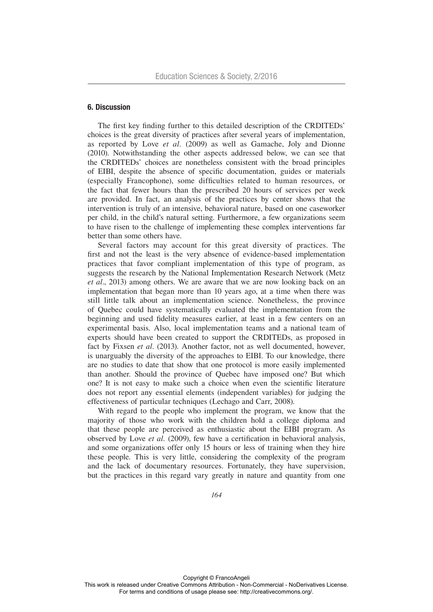# 6. Discussion

The first key finding further to this detailed description of the CRDITEDs' choices is the great diversity of practices after several years of implementation, as reported by Love *et al.* (2009) as well as Gamache, Joly and Dionne (2010). Notwithstanding the other aspects addressed below, we can see that the CRDITEDs' choices are nonetheless consistent with the broad principles of EIBI, despite the absence of specific documentation, guides or materials (especially Francophone), some difficulties related to human resources, or the fact that fewer hours than the prescribed 20 hours of services per week are provided. In fact, an analysis of the practices by center shows that the intervention is truly of an intensive, behavioral nature, based on one caseworker per child, in the child's natural setting. Furthermore, a few organizations seem to have risen to the challenge of implementing these complex interventions far better than some others have.

Several factors may account for this great diversity of practices. The first and not the least is the very absence of evidence-based implementation practices that favor compliant implementation of this type of program, as suggests the research by the National Implementation Research Network (Metz *et al*., 2013) among others. We are aware that we are now looking back on an implementation that began more than 10 years ago, at a time when there was still little talk about an implementation science. Nonetheless, the province of Quebec could have systematically evaluated the implementation from the beginning and used fidelity measures earlier, at least in a few centers on an experimental basis. Also, local implementation teams and a national team of experts should have been created to support the CRDITEDs, as proposed in fact by Fixsen *et al*. (2013). Another factor, not as well documented, however, is unarguably the diversity of the approaches to EIBI. To our knowledge, there are no studies to date that show that one protocol is more easily implemented than another. Should the province of Quebec have imposed one? But which one? It is not easy to make such a choice when even the scientific literature does not report any essential elements (independent variables) for judging the effectiveness of particular techniques (Lechago and Carr, 2008).

With regard to the people who implement the program, we know that the majority of those who work with the children hold a college diploma and that these people are perceived as enthusiastic about the EIBI program. As observed by Love *et al.* (2009), few have a certification in behavioral analysis, and some organizations offer only 15 hours or less of training when they hire these people. This is very little, considering the complexity of the program and the lack of documentary resources. Fortunately, they have supervision, but the practices in this regard vary greatly in nature and quantity from one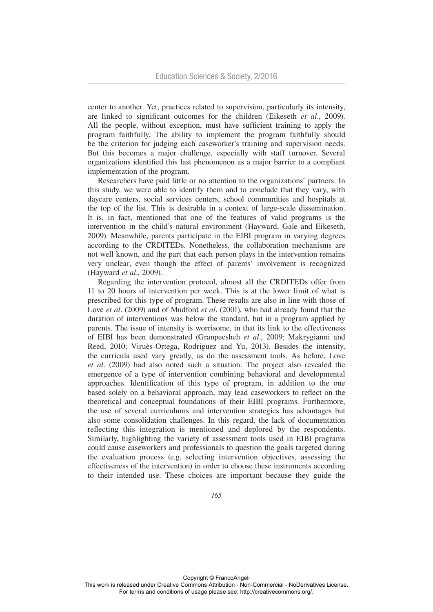center to another. Yet, practices related to supervision, particularly its intensity, are linked to significant outcomes for the children (Eikeseth *et al*., 2009). All the people, without exception, must have sufficient training to apply the program faithfully. The ability to implement the program faithfully should be the criterion for judging each caseworker's training and supervision needs. But this becomes a major challenge, especially with staff turnover. Several organizations identified this last phenomenon as a major barrier to a compliant implementation of the program.

Researchers have paid little or no attention to the organizations' partners. In this study, we were able to identify them and to conclude that they vary, with daycare centers, social services centers, school communities and hospitals at the top of the list. This is desirable in a context of large-scale dissemination. It is, in fact, mentioned that one of the features of valid programs is the intervention in the child's natural environment (Hayward, Gale and Eikeseth, 2009). Meanwhile, parents participate in the EIBI program in varying degrees according to the CRDITEDs. Nonetheless, the collaboration mechanisms are not well known, and the part that each person plays in the intervention remains very unclear, even though the effect of parents' involvement is recognized (Hayward *et al*., 2009).

Regarding the intervention protocol, almost all the CRDITEDs offer from 11 to 20 hours of intervention per week. This is at the lower limit of what is prescribed for this type of program. These results are also in line with those of Love *et al*. (2009) and of Mudford *et al*. (2001), who had already found that the duration of interventions was below the standard, but in a program applied by parents. The issue of intensity is worrisome, in that its link to the effectiveness of EIBI has been demonstrated (Granpeesheh *et al*., 2009; Makrygianni and Reed, 2010; Viruès-Ortega, Rodriguez and Yu, 2013). Besides the intensity, the curricula used vary greatly, as do the assessment tools. As before, Love *et al*. (2009) had also noted such a situation. The project also revealed the emergence of a type of intervention combining behavioral and developmental approaches. Identification of this type of program, in addition to the one based solely on a behavioral approach, may lead caseworkers to reflect on the theoretical and conceptual foundations of their EIBI programs. Furthermore, the use of several curriculums and intervention strategies has advantages but also some consolidation challenges. In this regard, the lack of documentation reflecting this integration is mentioned and deplored by the respondents. Similarly, highlighting the variety of assessment tools used in EIBI programs could cause caseworkers and professionals to question the goals targeted during the evaluation process (e.g. selecting intervention objectives, assessing the effectiveness of the intervention) in order to choose these instruments according to their intended use. These choices are important because they guide the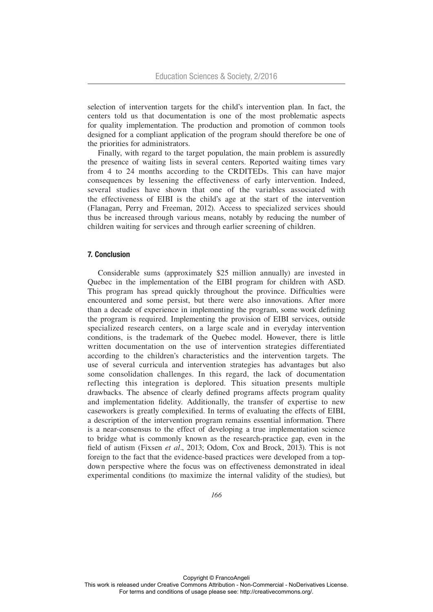selection of intervention targets for the child's intervention plan. In fact, the centers told us that documentation is one of the most problematic aspects for quality implementation. The production and promotion of common tools designed for a compliant application of the program should therefore be one of the priorities for administrators.

Finally, with regard to the target population, the main problem is assuredly the presence of waiting lists in several centers. Reported waiting times vary from 4 to 24 months according to the CRDITEDs. This can have major consequences by lessening the effectiveness of early intervention. Indeed, several studies have shown that one of the variables associated with the effectiveness of EIBI is the child's age at the start of the intervention (Flanagan, Perry and Freeman, 2012). Access to specialized services should thus be increased through various means, notably by reducing the number of children waiting for services and through earlier screening of children.

## 7. Conclusion

Considerable sums (approximately \$25 million annually) are invested in Quebec in the implementation of the EIBI program for children with ASD. This program has spread quickly throughout the province. Difficulties were encountered and some persist, but there were also innovations. After more than a decade of experience in implementing the program, some work defining the program is required. Implementing the provision of EIBI services, outside specialized research centers, on a large scale and in everyday intervention conditions, is the trademark of the Quebec model. However, there is little written documentation on the use of intervention strategies differentiated according to the children's characteristics and the intervention targets. The use of several curricula and intervention strategies has advantages but also some consolidation challenges. In this regard, the lack of documentation reflecting this integration is deplored. This situation presents multiple drawbacks. The absence of clearly defined programs affects program quality and implementation fidelity. Additionally, the transfer of expertise to new caseworkers is greatly complexified. In terms of evaluating the effects of EIBI, a description of the intervention program remains essential information. There is a near-consensus to the effect of developing a true implementation science to bridge what is commonly known as the research-practice gap, even in the field of autism (Fixsen *et al*., 2013; Odom, Cox and Brock, 2013). This is not foreign to the fact that the evidence-based practices were developed from a topdown perspective where the focus was on effectiveness demonstrated in ideal experimental conditions (to maximize the internal validity of the studies), but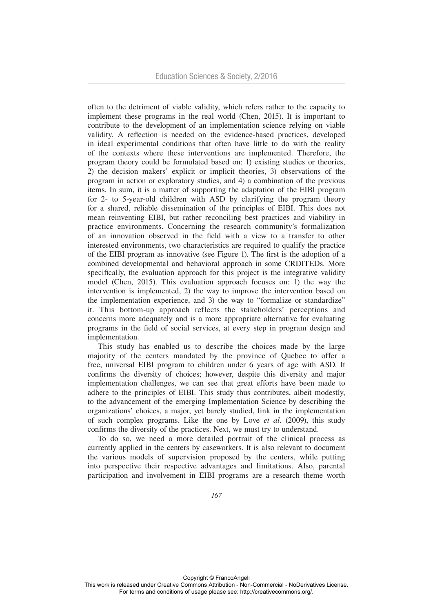often to the detriment of viable validity, which refers rather to the capacity to implement these programs in the real world (Chen, 2015). It is important to contribute to the development of an implementation science relying on viable validity. A reflection is needed on the evidence-based practices, developed in ideal experimental conditions that often have little to do with the reality of the contexts where these interventions are implemented. Therefore, the program theory could be formulated based on: 1) existing studies or theories, 2) the decision makers' explicit or implicit theories, 3) observations of the program in action or exploratory studies, and 4) a combination of the previous items. In sum, it is a matter of supporting the adaptation of the EIBI program for 2- to 5-year-old children with ASD by clarifying the program theory for a shared, reliable dissemination of the principles of EIBI. This does not mean reinventing EIBI, but rather reconciling best practices and viability in practice environments. Concerning the research community's formalization of an innovation observed in the field with a view to a transfer to other interested environments, two characteristics are required to qualify the practice of the EIBI program as innovative (see Figure 1). The first is the adoption of a combined developmental and behavioral approach in some CRDITEDs. More specifically, the evaluation approach for this project is the integrative validity model (Chen, 2015). This evaluation approach focuses on: 1) the way the intervention is implemented, 2) the way to improve the intervention based on the implementation experience, and 3) the way to "formalize or standardize" it. This bottom-up approach reflects the stakeholders' perceptions and concerns more adequately and is a more appropriate alternative for evaluating programs in the field of social services, at every step in program design and implementation.

This study has enabled us to describe the choices made by the large majority of the centers mandated by the province of Quebec to offer a free, universal EIBI program to children under 6 years of age with ASD. It confirms the diversity of choices; however, despite this diversity and major implementation challenges, we can see that great efforts have been made to adhere to the principles of EIBI. This study thus contributes, albeit modestly, to the advancement of the emerging Implementation Science by describing the organizations' choices, a major, yet barely studied, link in the implementation of such complex programs. Like the one by Love *et al*. (2009), this study confirms the diversity of the practices. Next, we must try to understand.

To do so, we need a more detailed portrait of the clinical process as currently applied in the centers by caseworkers. It is also relevant to document the various models of supervision proposed by the centers, while putting into perspective their respective advantages and limitations. Also, parental participation and involvement in EIBI programs are a research theme worth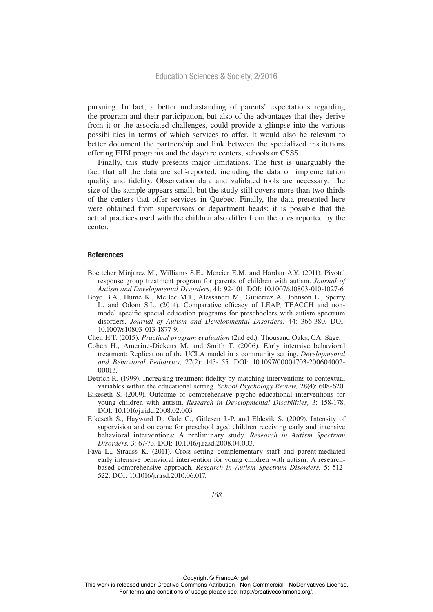pursuing. In fact, a better understanding of parents' expectations regarding the program and their participation, but also of the advantages that they derive from it or the associated challenges, could provide a glimpse into the various possibilities in terms of which services to offer. It would also be relevant to better document the partnership and link between the specialized institutions offering EIBI programs and the daycare centers, schools or CSSS.

Finally, this study presents major limitations. The first is unarguably the fact that all the data are self-reported, including the data on implementation quality and fidelity. Observation data and validated tools are necessary. The size of the sample appears small, but the study still covers more than two thirds of the centers that offer services in Quebec. Finally, the data presented here were obtained from supervisors or department heads; it is possible that the actual practices used with the children also differ from the ones reported by the center.

#### **References**

- Boettcher Minjarez M., Williams S.E., Mercier E.M. and Hardan A.Y. (2011). Pivotal response group treatment program for parents of children with autism. *Journal of Autism and Developmental Disorders,* 41: 92-101. DOI: 10.1007/s10803-010-1027-6
- Boyd B.A., Hume K., McBee M.T., Alessandri M., Gutierrez A., Johnson L., Sperry L. and Odom S.L. (2014). Comparative efficacy of LEAP, TEACCH and nonmodel specific special education programs for preschoolers with autism spectrum disorders. *Journal of Autism and Developmental Disorders,* 44: 366-380. DOI: 10.1007/s10803-013-1877-9.
- Chen H.T. (2015). *Practical program evaluation* (2nd ed.). Thousand Oaks, CA: Sage.
- Cohen H., Amerine-Dickens M. and Smith T. (2006). Early intensive behavioral treatment: Replication of the UCLA model in a community setting. *Developmental and Behavioral Pediatrics,* 27(2): 145-155. DOI: 10.1097/00004703-200604002- 00013.
- Detrich R. (1999). Increasing treatment fidelity by matching interventions to contextual variables within the educational setting*. School Psychology Review,* 28(4): 608-620.
- Eikeseth S. (2009). Outcome of comprehensive psycho-educational interventions for young children with autism. *Research in Developmental Disabilities,* 3: 158-178. DOI: 10.1016/j.ridd.2008.02.003.
- Eikeseth S., Hayward D., Gale C., Gitlesen J.-P. and Eldevik S. (2009). Intensity of supervision and outcome for preschool aged children receiving early and intensive behavioral interventions: A preliminary study. *Research in Autism Spectrum Disorders,* 3: 67-73. DOI: 10.1016/j.rasd.2008.04.003.
- Fava L., Strauss K. (2011). Cross-setting complementary staff and parent-mediated early intensive behavioral intervention for young children with autism: A researchbased comprehensive approach. *Research in Autism Spectrum Disorders,* 5: 512- 522. DOI: 10.1016/j.rasd.2010.06.017.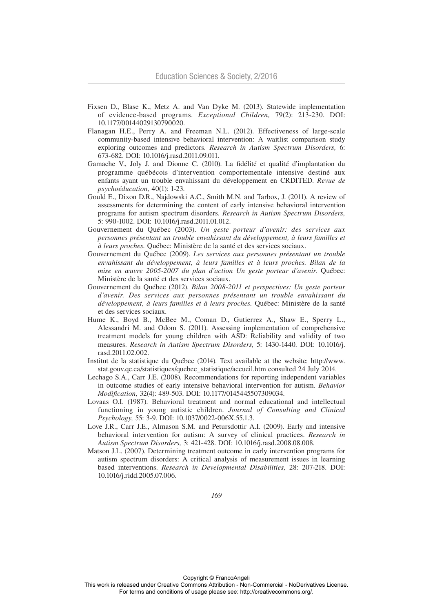- Fixsen D., Blase K., Metz A. and Van Dyke M. (2013). Statewide implementation of evidence-based programs. *Exceptional Children,* 79(2): 213-230. DOI: 10.1177/00144029130790020.
- Flanagan H.E., Perry A. and Freeman N.L. (2012). Effectiveness of large-scale community-based intensive behavioral intervention: A waitlist comparison study exploring outcomes and predictors. *Research in Autism Spectrum Disorders,* 6: 673-682. DOI: 10.1016/j.rasd.2011.09.011.
- Gamache V., Joly J. and Dionne C. (2010). La fidélité et qualité d'implantation du programme québécois d'intervention comportementale intensive destiné aux enfants ayant un trouble envahissant du développement en CRDITED. *Revue de psychoéducation,* 40(1): 1-23.
- Gould E., Dixon D.R., Najdowski A.C., Smith M.N. and Tarbox, J. (2011). A review of assessments for determining the content of early intensive behavioral intervention programs for autism spectrum disorders. *Research in Autism Spectrum Disorders,*  5: 990-1002. DOI: 10.1016/j.rasd.2011.01.012.
- Gouvernement du Québec (2003). *Un geste porteur d'avenir: des services aux personnes présentant un trouble envahissant du développement, à leurs familles et à leurs proches.* Québec: Ministère de la santé et des services sociaux.
- Gouvernement du Québec (2009). *Les services aux personnes présentant un trouble envahissant du développement, à leurs familles et à leurs proches. Bilan de la mise en œuvre 2005-2007 du plan d'action Un geste porteur d'avenir.* Québec: Ministère de la santé et des services sociaux.
- Gouvernement du Québec (2012). *Bilan 2008-2011 et perspectives: Un geste porteur d'avenir. Des services aux personnes présentant un trouble envahissant du développement, à leurs familles et à leurs proches.* Québec: Ministère de la santé et des services sociaux.
- Hume K., Boyd B., McBee M., Coman D., Gutierrez A., Shaw E., Sperry L., Alessandri M. and Odom S. (2011). Assessing implementation of comprehensive treatment models for young children with ASD: Reliability and validity of two measures. *Research in Autism Spectrum Disorders,* 5: 1430-1440. DOI: 10.1016/j. rasd.2011.02.002.
- Institut de la statistique du Québec (2014). Text available at the website: http://www. stat.gouv.qc.ca/statistiques/quebec\_statistique/accueil.htm consulted 24 July 2014.
- Lechago S.A., Carr J.E. (2008). Recommendations for reporting independent variables in outcome studies of early intensive behavioral intervention for autism. *Behavior Modification,* 32(4): 489-503. DOI: 10.1177/0145445507309034.
- Lovaas O.I. (1987). Behavioral treatment and normal educational and intellectual functioning in young autistic children. *Journal of Consulting and Clinical Psychology,* 55: 3-9. DOI: 10.1037/0022-006X.55.1.3.
- Love J.R., Carr J.E., Almason S.M. and Petursdottir A.I. (2009). Early and intensive behavioral intervention for autism: A survey of clinical practices. *Research in Autism Spectrum Disorders,* 3: 421-428. DOI: 10.1016/j.rasd.2008.08.008.
- Matson J.L. (2007). Determining treatment outcome in early intervention programs for autism spectrum disorders: A critical analysis of measurement issues in learning based interventions. *Research in Developmental Disabilities,* 28: 207-218. DOI: 10.1016/j.ridd.2005.07.006.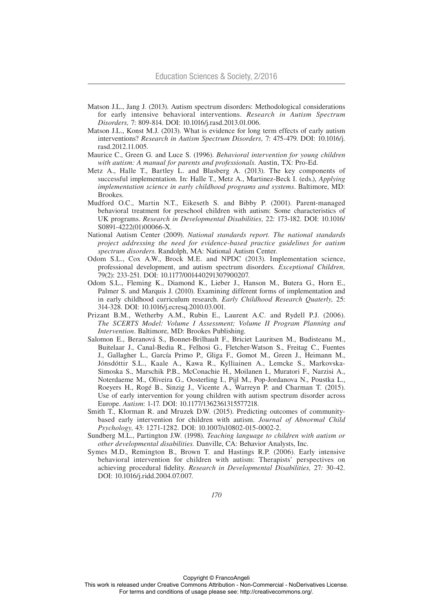- Matson J.L., Jang J. (2013). Autism spectrum disorders: Methodological considerations for early intensive behavioral interventions. *Research in Autism Spectrum Disorders,* 7: 809-814. DOI: 10.1016/j.rasd.2013.01.006.
- Matson J.L., Konst M.J. (2013). What is evidence for long term effects of early autism interventions? *Research in Autism Spectrum Disorders,* 7: 475-479. DOI: 10.1016/j. rasd.2012.11.005.
- Maurice C., Green G. and Luce S. (1996). *Behavioral intervention for young children with autism: A manual for parents and professionals*. Austin, TX: Pro-Ed.
- Metz A., Halle T., Bartley L. and Blasberg A. (2013). The key components of successful implementation. In: Halle T., Metz A., Martinez-Beck I. (eds.), *Applying implementation science in early childhood programs and systems*. Baltimore, MD: Brookes.
- Mudford O.C., Martin N.T., Eikeseth S. and Bibby P. (2001). Parent-managed behavioral treatment for preschool children with autism: Some characteristics of UK programs. *Research in Developmental Disabilities,* 22: 173-182. DOI: 10.1016/ S0891-4222(01)00066-X.
- National Autism Center (2009). *National standards report. The national standards project addressing the need for evidence-based practice guidelines for autism spectrum disorders*. Randolph, MA: National Autism Center.
- Odom S.L., Cox A.W., Brock M.E. and NPDC (2013). Implementation science, professional development, and autism spectrum disorders. *Exceptional Children,*  79(2): 233-251. DOI: 10.1177/001440291307900207.
- Odom S.L., Fleming K., Diamond K., Lieber J., Hanson M., Butera G., Horn E., Palmer S. and Marquis J. (2010). Examining different forms of implementation and in early childhood curriculum research. *Early Childhood Research Quaterly,* 25: 314-328. DOI: 10.1016/j.ecresq.2010.03.001.
- Prizant B.M., Wetherby A.M., Rubin E., Laurent A.C. and Rydell P.J. (2006). *The SCERTS Model: Volume I Assessment; Volume II Program Planning and Intervention*. Baltimore, MD: Brookes Publishing.
- Salomon E., Beranová S., Bonnet-Brilhault F., Briciet Lauritsen M., Budisteanu M., Buitelaar J., Canal-Bedia R., Felhosi G., Fletcher-Watson S., Freitag C., Fuentes J., Gallagher L., García Primo P., Gliga F., Gomot M., Green J., Heimann M., Jónsdóttir S.L., Kaale A., Kawa R., Kylliainen A., Lemcke S., Markovska-Simoska S., Marschik P.B., McConachie H., Moilanen I., Muratori F., Narzisi A., Noterdaeme M., Oliveira G., Oosterling I., Pijl M., Pop-Jordanova N., Poustka L., Roeyers H., Rogé B., Sinzig J., Vicente A., Warreyn P. and Charman T. (2015). Use of early intervention for young children with autism spectrum disorder across Europe. *Autism*: 1-17. DOI: 10.1177/1362361315577218.
- Smith T., Klorman R. and Mruzek D.W. (2015). Predicting outcomes of communitybased early intervention for children with autism. *Journal of Abnormal Child Psychology,* 43: 1271-1282. DOI: 10.1007/s10802-015-0002-2.
- Sundberg M.L., Partington J.W. (1998). *Teaching language to children with autism or other developmental disabilities.* Danville, CA: Behavior Analysts, Inc.
- Symes M.D., Remington B., Brown T. and Hastings R.P. (2006). Early intensive behavioral intervention for children with autism: Therapists' perspectives on achieving procedural fidelity. *Research in Developmental Disabilities,* 27*:* 30-42. DOI: 10.1016/j.ridd.2004.07.007.